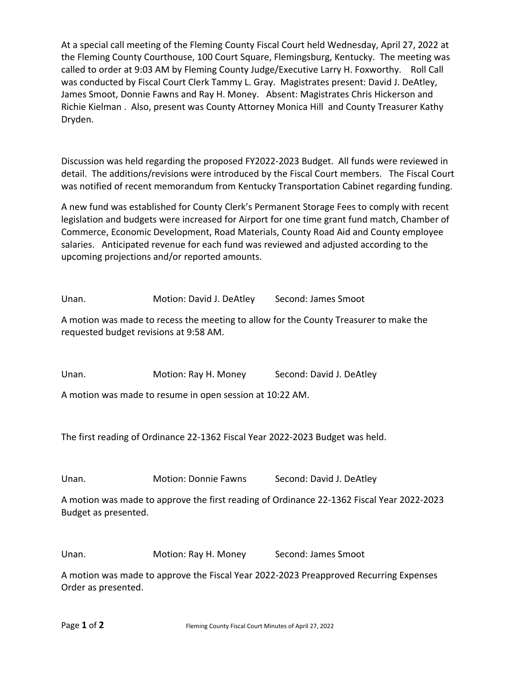At a special call meeting of the Fleming County Fiscal Court held Wednesday, April 27, 2022 at the Fleming County Courthouse, 100 Court Square, Flemingsburg, Kentucky. The meeting was called to order at 9:03 AM by Fleming County Judge/Executive Larry H. Foxworthy. Roll Call was conducted by Fiscal Court Clerk Tammy L. Gray. Magistrates present: David J. DeAtley, James Smoot, Donnie Fawns and Ray H. Money. Absent: Magistrates Chris Hickerson and Richie Kielman . Also, present was County Attorney Monica Hill and County Treasurer Kathy Dryden.

Discussion was held regarding the proposed FY2022-2023 Budget. All funds were reviewed in detail. The additions/revisions were introduced by the Fiscal Court members. The Fiscal Court was notified of recent memorandum from Kentucky Transportation Cabinet regarding funding.

A new fund was established for County Clerk's Permanent Storage Fees to comply with recent legislation and budgets were increased for Airport for one time grant fund match, Chamber of Commerce, Economic Development, Road Materials, County Road Aid and County employee salaries. Anticipated revenue for each fund was reviewed and adjusted according to the upcoming projections and/or reported amounts.

Unan. Motion: David J. DeAtley Second: James Smoot

A motion was made to recess the meeting to allow for the County Treasurer to make the requested budget revisions at 9:58 AM.

Unan. Motion: Ray H. Money Second: David J. DeAtley

A motion was made to resume in open session at 10:22 AM.

The first reading of Ordinance 22-1362 Fiscal Year 2022-2023 Budget was held.

Unan. Motion: Donnie Fawns Second: David J. DeAtley

A motion was made to approve the first reading of Ordinance 22-1362 Fiscal Year 2022-2023 Budget as presented.

Unan. Motion: Ray H. Money Second: James Smoot

A motion was made to approve the Fiscal Year 2022-2023 Preapproved Recurring Expenses Order as presented.